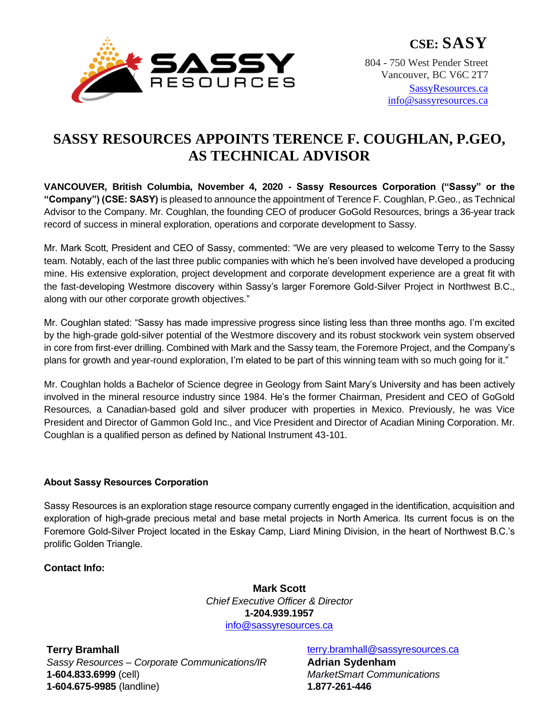

**CSE: SASY**

804 - 750 West Pender Street Vancouver, BC V6C 2T7

[SassyResources.ca](http://www.sassyresources.ca/) [info@sassyresources.ca](mailto:info@sassyresources.ca)

## **SASSY RESOURCES APPOINTS TERENCE F. COUGHLAN, P.GEO, AS TECHNICAL ADVISOR**

**VANCOUVER, British Columbia, November 4, 2020 - Sassy Resources Corporation ("Sassy" or the "Company") (CSE: SASY)** is pleased to announce the appointment of Terence F. Coughlan, P.Geo., as Technical Advisor to the Company. Mr. Coughlan, the founding CEO of producer GoGold Resources, brings a 36-year track record of success in mineral exploration, operations and corporate development to Sassy.

Mr. Mark Scott, President and CEO of Sassy, commented: "We are very pleased to welcome Terry to the Sassy team. Notably, each of the last three public companies with which he's been involved have developed a producing mine. His extensive exploration, project development and corporate development experience are a great fit with the fast-developing Westmore discovery within Sassy's larger Foremore Gold-Silver Project in Northwest B.C., along with our other corporate growth objectives."

Mr. Coughlan stated: "Sassy has made impressive progress since listing less than three months ago. I'm excited by the high-grade gold-silver potential of the Westmore discovery and its robust stockwork vein system observed in core from first-ever drilling. Combined with Mark and the Sassy team, the Foremore Project, and the Company's plans for growth and year-round exploration, I'm elated to be part of this winning team with so much going for it."

Mr. Coughlan holds a Bachelor of Science degree in Geology from Saint Mary's University and has been actively involved in the mineral resource industry since 1984. He's the former Chairman, President and CEO of GoGold Resources, a Canadian-based gold and silver producer with properties in Mexico. Previously, he was Vice President and Director of Gammon Gold Inc., and Vice President and Director of Acadian Mining Corporation. Mr. Coughlan is a qualified person as defined by National Instrument 43-101.

## **About Sassy Resources Corporation**

Sassy Resources is an exploration stage resource company currently engaged in the identification, acquisition and exploration of high-grade precious metal and base metal projects in North America. Its current focus is on the Foremore Gold-Silver Project located in the Eskay Camp, Liard Mining Division, in the heart of Northwest B.C.'s prolific Golden Triangle.

## **Contact Info:**

**Mark Scott** *Chief Executive Officer & Director* **1-204.939.1957** [info@sassyresources.ca](mailto:info@sassyresources.ca)

**Terry Bramhall** *Sassy Resources – Corporate Communications/IR* **1-604.833.6999** (cell) **1-604.675-9985** (landline)

[terry.bramhall@sassyresources.ca](mailto:terry.bramhall@sassyresources.ca) **Adrian Sydenham** *MarketSmart Communications* **1.877-261-446**